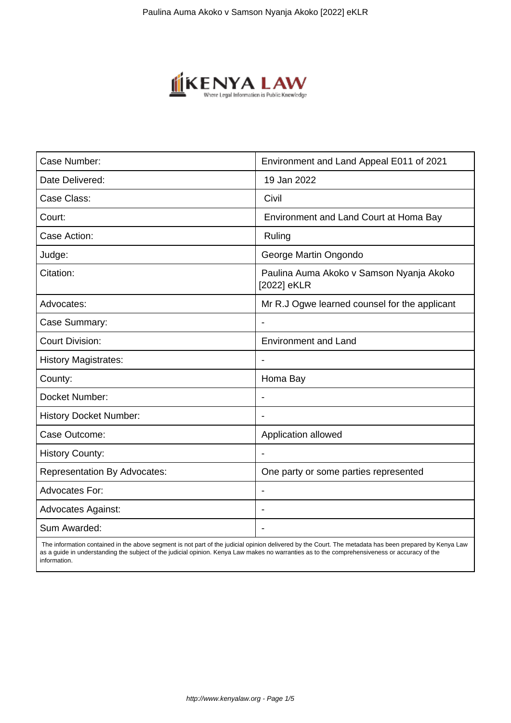

| Case Number:                        | Environment and Land Appeal E011 of 2021                |
|-------------------------------------|---------------------------------------------------------|
| Date Delivered:                     | 19 Jan 2022                                             |
| Case Class:                         | Civil                                                   |
| Court:                              | Environment and Land Court at Homa Bay                  |
| Case Action:                        | Ruling                                                  |
| Judge:                              | George Martin Ongondo                                   |
| Citation:                           | Paulina Auma Akoko v Samson Nyanja Akoko<br>[2022] eKLR |
| Advocates:                          | Mr R.J Ogwe learned counsel for the applicant           |
| Case Summary:                       |                                                         |
| <b>Court Division:</b>              | <b>Environment and Land</b>                             |
| <b>History Magistrates:</b>         | $\overline{\phantom{a}}$                                |
| County:                             | Homa Bay                                                |
| Docket Number:                      |                                                         |
| <b>History Docket Number:</b>       |                                                         |
| Case Outcome:                       | Application allowed                                     |
| <b>History County:</b>              | $\blacksquare$                                          |
| <b>Representation By Advocates:</b> | One party or some parties represented                   |
| <b>Advocates For:</b>               | $\overline{\phantom{0}}$                                |
| <b>Advocates Against:</b>           |                                                         |
| Sum Awarded:                        |                                                         |

 The information contained in the above segment is not part of the judicial opinion delivered by the Court. The metadata has been prepared by Kenya Law as a guide in understanding the subject of the judicial opinion. Kenya Law makes no warranties as to the comprehensiveness or accuracy of the information.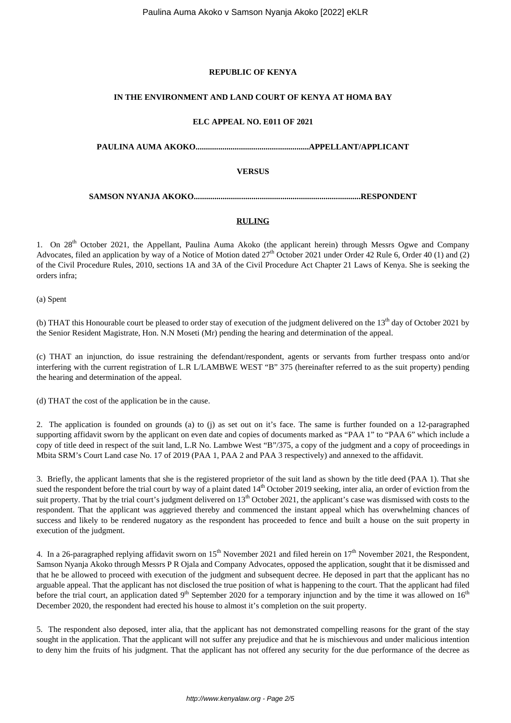# **REPUBLIC OF KENYA**

### **IN THE ENVIRONMENT AND LAND COURT OF KENYA AT HOMA BAY**

# **ELC APPEAL NO. E011 OF 2021**

**PAULINA AUMA AKOKO.......................................................APPELLANT/APPLICANT**

# **VERSUS**

**SAMSON NYANJA AKOKO.................................................................................RESPONDENT**

# **RULING**

1. On 28<sup>th</sup> October 2021, the Appellant, Paulina Auma Akoko (the applicant herein) through Messrs Ogwe and Company Advocates, filed an application by way of a Notice of Motion dated  $27<sup>th</sup>$  October 2021 under Order 42 Rule 6, Order 40 (1) and (2) of the Civil Procedure Rules, 2010, sections 1A and 3A of the Civil Procedure Act Chapter 21 Laws of Kenya. She is seeking the orders infra;

(a) Spent

(b) THAT this Honourable court be pleased to order stay of execution of the judgment delivered on the  $13<sup>th</sup>$  day of October 2021 by the Senior Resident Magistrate, Hon. N.N Moseti (Mr) pending the hearing and determination of the appeal.

(c) THAT an injunction, do issue restraining the defendant/respondent, agents or servants from further trespass onto and/or interfering with the current registration of L.R L/LAMBWE WEST "B" 375 (hereinafter referred to as the suit property) pending the hearing and determination of the appeal.

(d) THAT the cost of the application be in the cause.

2. The application is founded on grounds (a) to (j) as set out on it's face. The same is further founded on a 12-paragraphed supporting affidavit sworn by the applicant on even date and copies of documents marked as "PAA 1" to "PAA 6" which include a copy of title deed in respect of the suit land, L.R No. Lambwe West "B"/375, a copy of the judgment and a copy of proceedings in Mbita SRM's Court Land case No. 17 of 2019 (PAA 1, PAA 2 and PAA 3 respectively) and annexed to the affidavit.

3. Briefly, the applicant laments that she is the registered proprietor of the suit land as shown by the title deed (PAA 1). That she sued the respondent before the trial court by way of a plaint dated  $14<sup>th</sup>$  October 2019 seeking, inter alia, an order of eviction from the suit property. That by the trial court's judgment delivered on  $13<sup>th</sup>$  October 2021, the applicant's case was dismissed with costs to the respondent. That the applicant was aggrieved thereby and commenced the instant appeal which has overwhelming chances of success and likely to be rendered nugatory as the respondent has proceeded to fence and built a house on the suit property in execution of the judgment.

4. In a 26-paragraphed replying affidavit sworn on 15<sup>th</sup> November 2021 and filed herein on  $17<sup>th</sup>$  November 2021, the Respondent, Samson Nyanja Akoko through Messrs P R Ojala and Company Advocates, opposed the application, sought that it be dismissed and that he be allowed to proceed with execution of the judgment and subsequent decree. He deposed in part that the applicant has no arguable appeal. That the applicant has not disclosed the true position of what is happening to the court. That the applicant had filed before the trial court, an application dated  $9<sup>th</sup>$  September 2020 for a temporary injunction and by the time it was allowed on  $16<sup>th</sup>$ December 2020, the respondent had erected his house to almost it's completion on the suit property.

5. The respondent also deposed, inter alia, that the applicant has not demonstrated compelling reasons for the grant of the stay sought in the application. That the applicant will not suffer any prejudice and that he is mischievous and under malicious intention to deny him the fruits of his judgment. That the applicant has not offered any security for the due performance of the decree as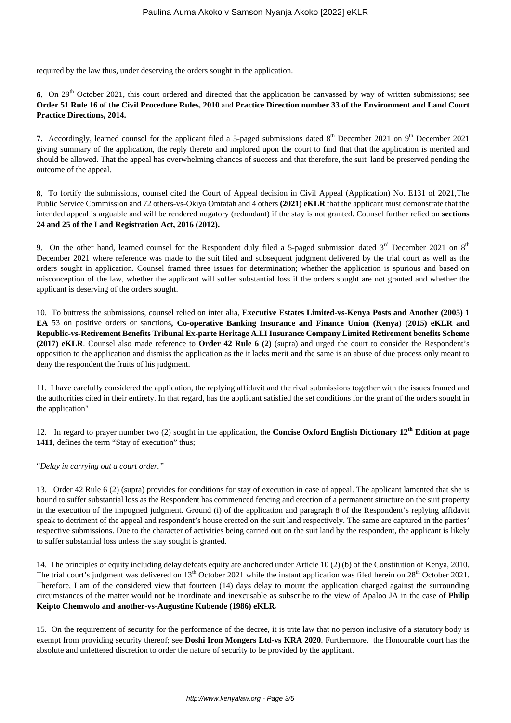required by the law thus, under deserving the orders sought in the application.

**6.** On 29<sup>th</sup> October 2021, this court ordered and directed that the application be canvassed by way of written submissions; see **Order 51 Rule 16 of the Civil Procedure Rules, 2010** and **Practice Direction number 33 of the Environment and Land Court Practice Directions, 2014.**

**7.** Accordingly, learned counsel for the applicant filed a 5-paged submissions dated 8<sup>th</sup> December 2021 on 9<sup>th</sup> December 2021 giving summary of the application, the reply thereto and implored upon the court to find that that the application is merited and should be allowed. That the appeal has overwhelming chances of success and that therefore, the suit land be preserved pending the outcome of the appeal.

**8.** To fortify the submissions, counsel cited the Court of Appeal decision in Civil Appeal (Application) No. E131 of 2021,The Public Service Commission and 72 others-vs-Okiya Omtatah and 4 others **(2021) eKLR** that the applicant must demonstrate that the intended appeal is arguable and will be rendered nugatory (redundant) if the stay is not granted. Counsel further relied on **sections 24 and 25 of the Land Registration Act, 2016 (2012).**

9. On the other hand, learned counsel for the Respondent duly filed a 5-paged submission dated  $3<sup>rd</sup>$  December 2021 on  $8<sup>th</sup>$ December 2021 where reference was made to the suit filed and subsequent judgment delivered by the trial court as well as the orders sought in application. Counsel framed three issues for determination; whether the application is spurious and based on misconception of the law, whether the applicant will suffer substantial loss if the orders sought are not granted and whether the applicant is deserving of the orders sought.

10. To buttress the submissions, counsel relied on inter alia, **Executive Estates Limited-vs-Kenya Posts and Another (2005) 1 EA** 53 on positive orders or sanctions**, Co-operative Banking Insurance and Finance Union (Kenya) (2015) eKLR and Republic-vs-Retirement Benefits Tribunal Ex-parte Heritage A.I.I Insurance Company Limited Retirement benefits Scheme (2017) eKLR**. Counsel also made reference to **Order 42 Rule 6 (2)** (supra) and urged the court to consider the Respondent's opposition to the application and dismiss the application as the it lacks merit and the same is an abuse of due process only meant to deny the respondent the fruits of his judgment.

11. I have carefully considered the application, the replying affidavit and the rival submissions together with the issues framed and the authorities cited in their entirety. In that regard, has the applicant satisfied the set conditions for the grant of the orders sought in the application"

12. In regard to prayer number two (2) sought in the application, the **Concise Oxford English Dictionary 12th Edition at page 1411**, defines the term "Stay of execution" thus;

"*Delay in carrying out a court order."*

13. Order 42 Rule 6 (2) (supra) provides for conditions for stay of execution in case of appeal. The applicant lamented that she is bound to suffer substantial loss as the Respondent has commenced fencing and erection of a permanent structure on the suit property in the execution of the impugned judgment. Ground (i) of the application and paragraph 8 of the Respondent's replying affidavit speak to detriment of the appeal and respondent's house erected on the suit land respectively. The same are captured in the parties' respective submissions. Due to the character of activities being carried out on the suit land by the respondent, the applicant is likely to suffer substantial loss unless the stay sought is granted.

14. The principles of equity including delay defeats equity are anchored under Article 10 (2) (b) of the Constitution of Kenya, 2010. The trial court's judgment was delivered on 13<sup>th</sup> October 2021 while the instant application was filed herein on 28<sup>th</sup> October 2021. Therefore, I am of the considered view that fourteen (14) days delay to mount the application charged against the surrounding circumstances of the matter would not be inordinate and inexcusable as subscribe to the view of Apaloo JA in the case of **Philip Keipto Chemwolo and another-vs-Augustine Kubende (1986) eKLR**.

15. On the requirement of security for the performance of the decree, it is trite law that no person inclusive of a statutory body is exempt from providing security thereof; see **Doshi Iron Mongers Ltd-vs KRA 2020**. Furthermore, the Honourable court has the absolute and unfettered discretion to order the nature of security to be provided by the applicant.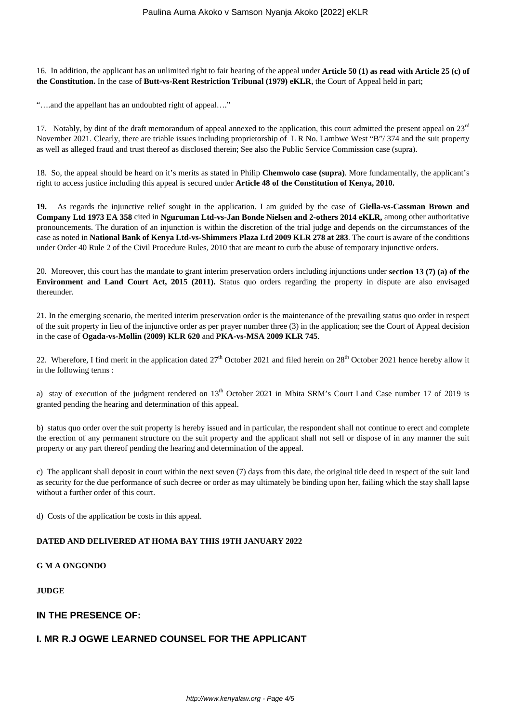16. In addition, the applicant has an unlimited right to fair hearing of the appeal under **Article 50 (1) as read with Article 25 (c) of the Constitution.** In the case of **Butt-vs-Rent Restriction Tribunal (1979) eKLR**, the Court of Appeal held in part;

"….and the appellant has an undoubted right of appeal…."

17. Notably, by dint of the draft memorandum of appeal annexed to the application, this court admitted the present appeal on  $23<sup>rd</sup>$ November 2021. Clearly, there are triable issues including proprietorship of L R No. Lambwe West "B"/ 374 and the suit property as well as alleged fraud and trust thereof as disclosed therein; See also the Public Service Commission case (supra).

18. So, the appeal should be heard on it's merits as stated in Philip **Chemwolo case (supra)**. More fundamentally, the applicant's right to access justice including this appeal is secured under **Article 48 of the Constitution of Kenya, 2010.**

**19.** As regards the injunctive relief sought in the application. I am guided by the case of **Giella-vs-Cassman Brown and Company Ltd 1973 EA 358** cited in **Nguruman Ltd-vs-Jan Bonde Nielsen and 2-others 2014 eKLR,** among other authoritative pronouncements. The duration of an injunction is within the discretion of the trial judge and depends on the circumstances of the case as noted in **National Bank of Kenya Ltd-vs-Shimmers Plaza Ltd 2009 KLR 278 at 283**. The court is aware of the conditions under Order 40 Rule 2 of the Civil Procedure Rules, 2010 that are meant to curb the abuse of temporary injunctive orders.

20. Moreover, this court has the mandate to grant interim preservation orders including injunctions under **section 13 (7) (a) of the Environment and Land Court Act, 2015 (2011).** Status quo orders regarding the property in dispute are also envisaged thereunder.

21. In the emerging scenario, the merited interim preservation order is the maintenance of the prevailing status quo order in respect of the suit property in lieu of the injunctive order as per prayer number three (3) in the application; see the Court of Appeal decision in the case of **Ogada-vs-Mollin (2009) KLR 620** and **PKA-vs-MSA 2009 KLR 745**.

22. Wherefore, I find merit in the application dated  $27<sup>th</sup>$  October 2021 and filed herein on  $28<sup>th</sup>$  October 2021 hence hereby allow it in the following terms :

a) stay of execution of the judgment rendered on  $13<sup>th</sup>$  October 2021 in Mbita SRM's Court Land Case number 17 of 2019 is granted pending the hearing and determination of this appeal.

b) status quo order over the suit property is hereby issued and in particular, the respondent shall not continue to erect and complete the erection of any permanent structure on the suit property and the applicant shall not sell or dispose of in any manner the suit property or any part thereof pending the hearing and determination of the appeal.

c) The applicant shall deposit in court within the next seven (7) days from this date, the original title deed in respect of the suit land as security for the due performance of such decree or order as may ultimately be binding upon her, failing which the stay shall lapse without a further order of this court.

d) Costs of the application be costs in this appeal.

# **DATED AND DELIVERED AT HOMA BAY THIS 19TH JANUARY 2022**

#### **G M A ONGONDO**

**JUDGE**

#### **IN THE PRESENCE OF:**

# **I. MR R.J OGWE LEARNED COUNSEL FOR THE APPLICANT**